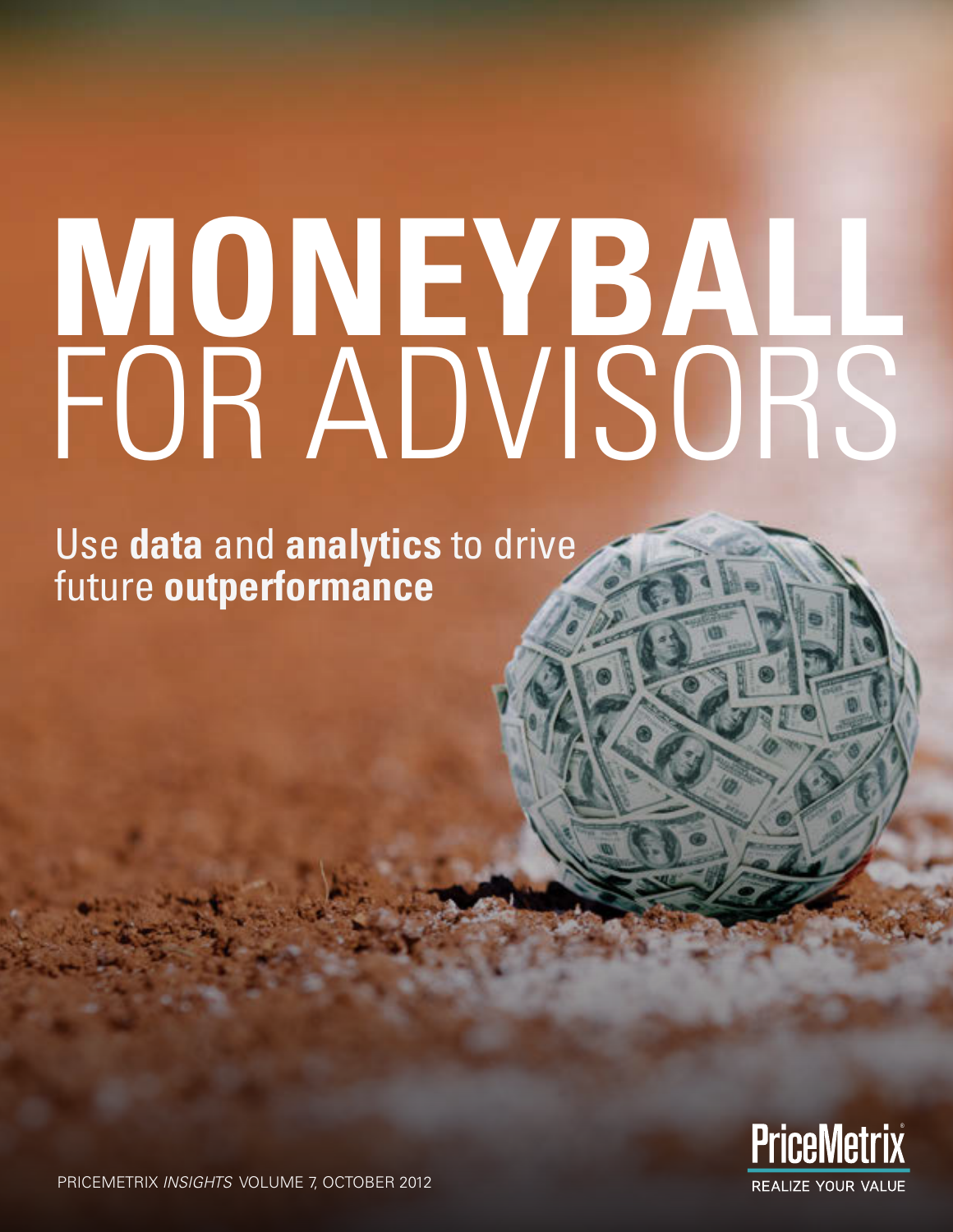# **MONEYBALL** FOR ADVISORS

Use **data** and **analytics** to drive future **outperformance**



PRICEMETRIX *INSIGHTS* VOLUME 7, OCTOBER 2012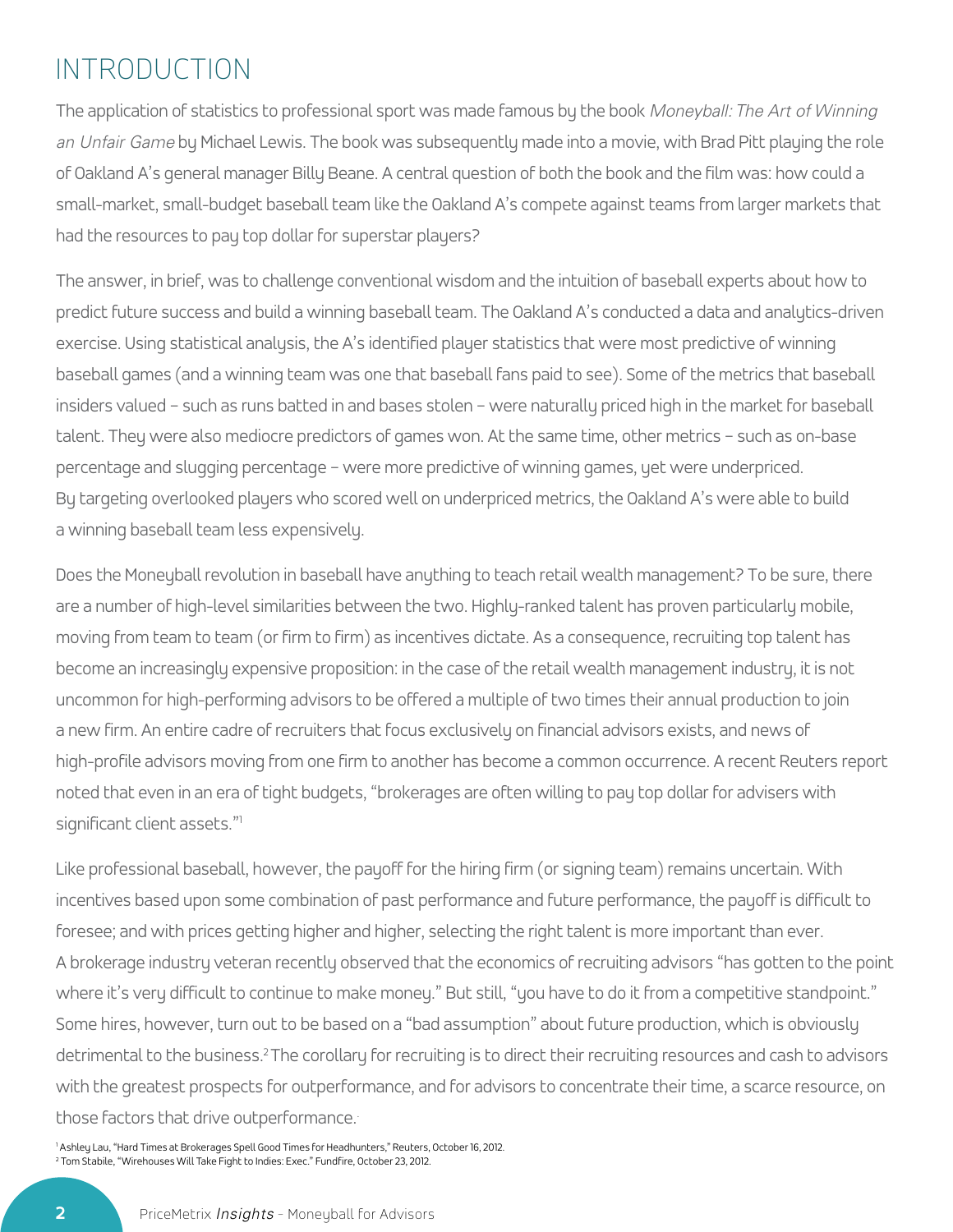### INTRODUCTION

The application of statistics to professional sport was made famous by the book *Moneyball: The Art of Winning an Unfair Game* by Michael Lewis. The book was subsequently made into a movie, with Brad Pitt playing the role of Oakland A's general manager Billy Beane. A central question of both the book and the film was: how could a small-market, small-budget baseball team like the Oakland A's compete against teams from larger markets that had the resources to pay top dollar for superstar players?

The answer, in brief, was to challenge conventional wisdom and the intuition of baseball experts about how to predict future success and build a winning baseball team. The Oakland A's conducted a data and analytics-driven exercise. Using statistical analysis, the A's identified player statistics that were most predictive of winning baseball games (and a winning team was one that baseball fans paid to see). Some of the metrics that baseball insiders valued – such as runs batted in and bases stolen – were naturally priced high in the market for baseball talent. They were also mediocre predictors of games won. At the same time, other metrics – such as on-base percentage and slugging percentage – were more predictive of winning games, yet were underpriced. By targeting overlooked players who scored well on underpriced metrics, the Oakland A's were able to build a winning baseball team less expensively.

Does the Moneyball revolution in baseball have anything to teach retail wealth management? To be sure, there are a number of high-level similarities between the two. Highly-ranked talent has proven particularly mobile, moving from team to team (or firm to firm) as incentives dictate. As a consequence, recruiting top talent has become an increasingly expensive proposition: in the case of the retail wealth management industry, it is not uncommon for high-performing advisors to be offered a multiple of two times their annual production to join a new firm. An entire cadre of recruiters that focus exclusively on financial advisors exists, and news of high-profile advisors moving from one firm to another has become a common occurrence. A recent Reuters report noted that even in an era of tight budgets, "brokerages are often willing to pay top dollar for advisers with significant client assets."1

Like professional baseball, however, the payoff for the hiring firm (or signing team) remains uncertain. With incentives based upon some combination of past performance and future performance, the payoff is difficult to foresee; and with prices getting higher and higher, selecting the right talent is more important than ever. A brokerage industry veteran recently observed that the economics of recruiting advisors "has gotten to the point where it's very difficult to continue to make money." But still, "you have to do it from a competitive standpoint." Some hires, however, turn out to be based on a "bad assumption" about future production, which is obviously detrimental to the business.2 The corollary for recruiting is to direct their recruiting resources and cash to advisors with the greatest prospects for outperformance, and for advisors to concentrate their time, a scarce resource, on those factors that drive outperformance..

1 Ashley Lau, "Hard Times at Brokerages Spell Good Times for Headhunters," Reuters, October 16, 2012. 2 Tom Stabile, "Wirehouses Will Take Fight to Indies: Exec." Fundfire, October 23, 2012.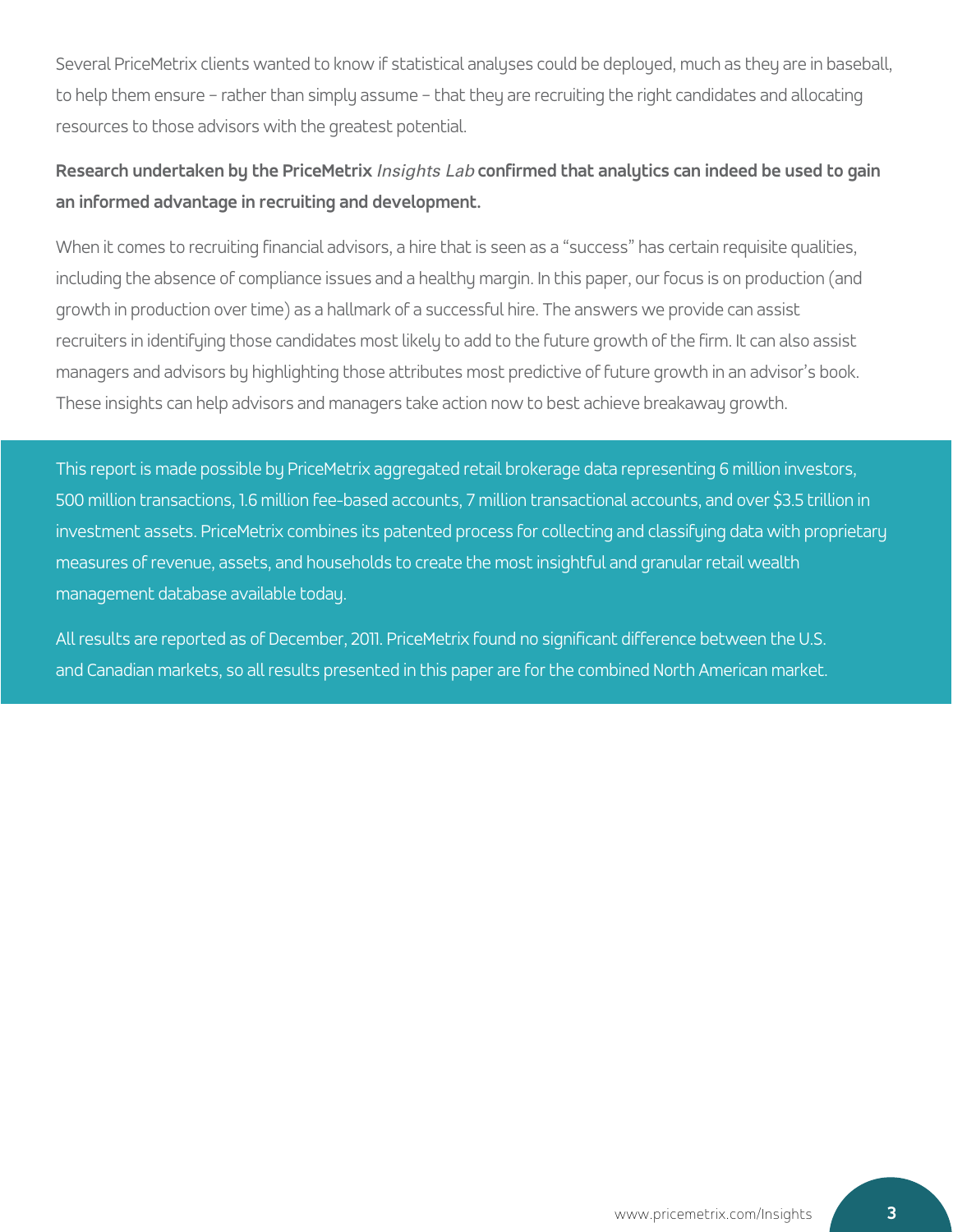Several PriceMetrix clients wanted to know if statistical analyses could be deployed, much as they are in baseball, to help them ensure – rather than simply assume – that they are recruiting the right candidates and allocating resources to those advisors with the greatest potential.

### **Research undertaken by the PriceMetrix** *Insights Lab* **confirmed that analytics can indeed be used to gain an informed advantage in recruiting and development.**

When it comes to recruiting financial advisors, a hire that is seen as a "success" has certain requisite qualities, including the absence of compliance issues and a healthy margin. In this paper, our focus is on production (and growth in production over time) as a hallmark of a successful hire. The answers we provide can assist recruiters in identifying those candidates most likely to add to the future growth of the firm. It can also assist managers and advisors by highlighting those attributes most predictive of future growth in an advisor's book. These insights can help advisors and managers take action now to best achieve breakaway growth.

This report is made possible by PriceMetrix aggregated retail brokerage data representing 6 million investors, 500 million transactions, 1.6 million fee-based accounts, 7 million transactional accounts, and over \$3.5 trillion in investment assets. PriceMetrix combines its patented process for collecting and classifying data with proprietary measures of revenue, assets, and households to create the most insightful and granular retail wealth management database available today.

All results are reported as of December, 2011. PriceMetrix found no significant difference between the U.S. and Canadian markets, so all results presented in this paper are for the combined North American market.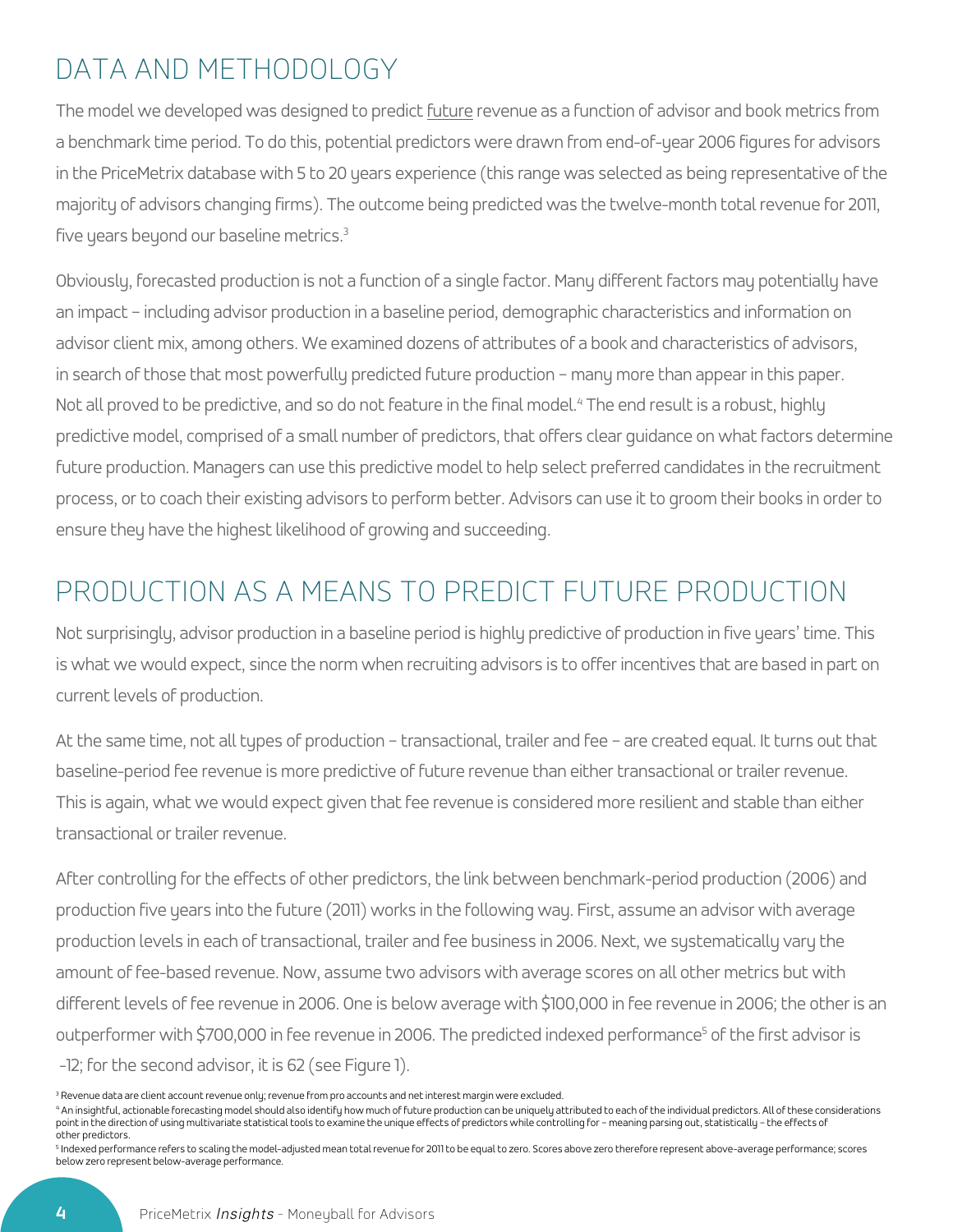# DATA AND METHODOLOGY

The model we developed was designed to predict future revenue as a function of advisor and book metrics from a benchmark time period. To do this, potential predictors were drawn from end-of-year 2006 figures for advisors in the PriceMetrix database with 5 to 20 years experience (this range was selected as being representative of the majority of advisors changing firms). The outcome being predicted was the twelve-month total revenue for 2011, five years beyond our baseline metrics.3

Obviously, forecasted production is not a function of a single factor. Many different factors may potentially have an impact – including advisor production in a baseline period, demographic characteristics and information on advisor client mix, among others. We examined dozens of attributes of a book and characteristics of advisors, in search of those that most powerfully predicted future production – many more than appear in this paper. Not all proved to be predictive, and so do not feature in the final model.<sup>4</sup> The end result is a robust, highly predictive model, comprised of a small number of predictors, that offers clear guidance on what factors determine future production. Managers can use this predictive model to help select preferred candidates in the recruitment process, or to coach their existing advisors to perform better. Advisors can use it to groom their books in order to ensure they have the highest likelihood of growing and succeeding.

### PRODUCTION AS A MEANS TO PREDICT FUTURE PRODUCTION

Not surprisingly, advisor production in a baseline period is highly predictive of production in five years' time. This is what we would expect, since the norm when recruiting advisors is to offer incentives that are based in part on current levels of production.

At the same time, not all types of production – transactional, trailer and fee – are created equal. It turns out that baseline-period fee revenue is more predictive of future revenue than either transactional or trailer revenue. This is again, what we would expect given that fee revenue is considered more resilient and stable than either transactional or trailer revenue.

After controlling for the effects of other predictors, the link between benchmark-period production (2006) and production five years into the future (2011) works in the following way. First, assume an advisor with average production levels in each of transactional, trailer and fee business in 2006. Next, we systematically vary the amount of fee-based revenue. Now, assume two advisors with average scores on all other metrics but with different levels of fee revenue in 2006. One is below average with \$100,000 in fee revenue in 2006; the other is an outperformer with \$700,000 in fee revenue in 2006. The predicted indexed performance<sup>s</sup> of the first advisor is -12; for the second advisor, it is 62 (see Figure 1).

<sup>3</sup> Revenue data are client account revenue only; revenue from pro accounts and net interest margin were excluded.

4 An insightful, actionable forecasting model should also identify how much of future production can be uniquely attributed to each of the individual predictors. All of these considerations point in the direction of using multivariate statistical tools to examine the unique effects of predictors while controlling for – meaning parsing out, statistically – the effects of other predictors.

<sup>5</sup> Indexed performance refers to scaling the model-adjusted mean total revenue for 2011 to be equal to zero. Scores above zero therefore represent above-average performance; scores below zero represent below-average performance.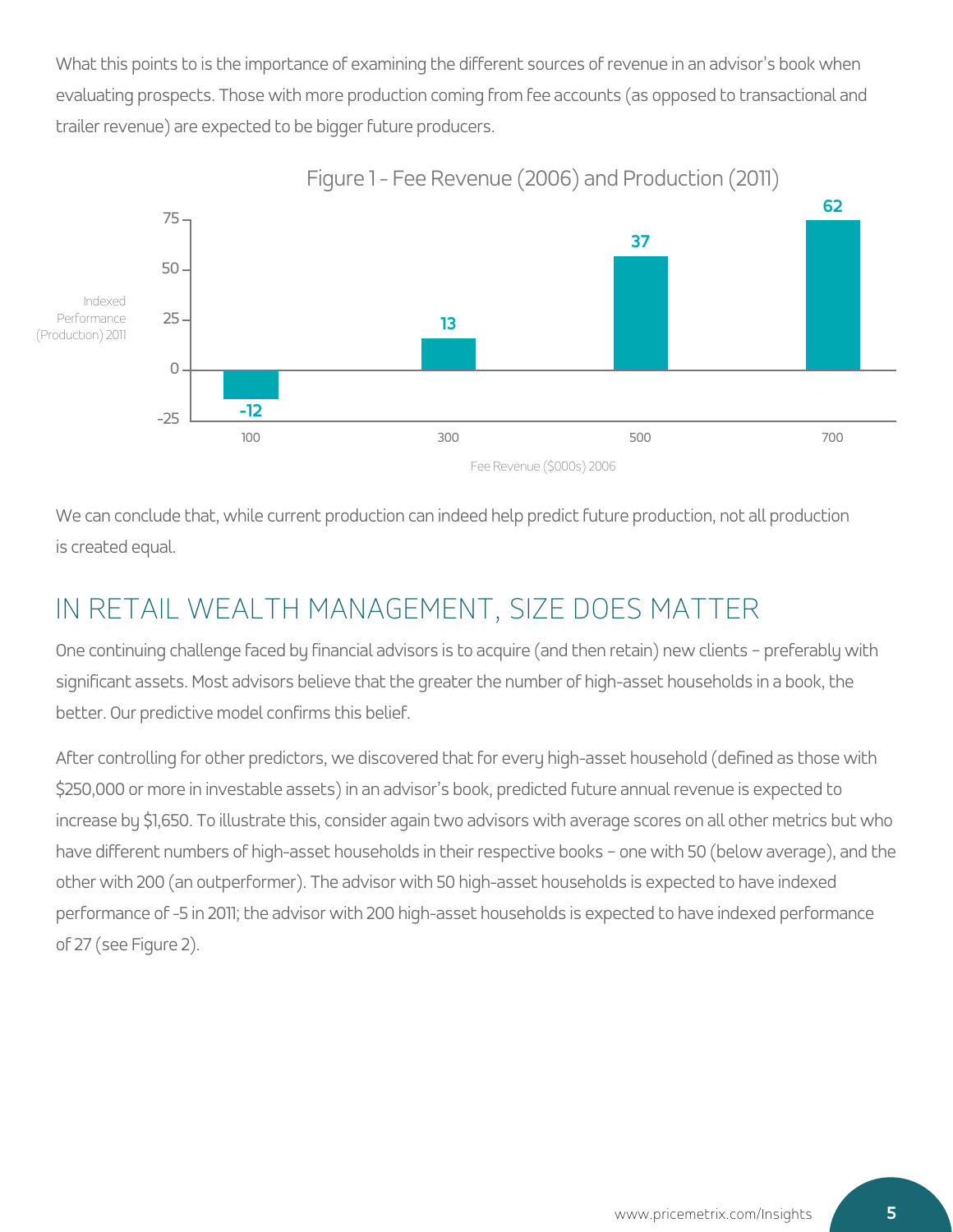What this points to is the importance of examining the different sources of revenue in an advisor's book when evaluating prospects. Those with more production coming from fee accounts (as opposed to transactional and trailer revenue) are expected to be bigger future producers.



Figure 1 - Fee Revenue (2006) and Production (2011)

We can conclude that, while current production can indeed help predict future production, not all production is created equal.

## IN RETAIL WEALTH MANAGEMENT, SIZE DOES MATTER

One continuing challenge faced by financial advisors is to acquire (and then retain) new clients – preferably with significant assets. Most advisors believe that the greater the number of high-asset households in a book, the better. Our predictive model confirms this belief.

After controlling for other predictors, we discovered that for every high-asset household (defined as those with \$250,000 or more in investable assets) in an advisor's book, predicted future annual revenue is expected to increase by \$1,650. To illustrate this, consider again two advisors with average scores on all other metrics but who have different numbers of high-asset households in their respective books – one with 50 (below average), and the other with 200 (an outperformer). The advisor with 50 high-asset households is expected to have indexed performance of -5 in 2011; the advisor with 200 high-asset households is expected to have indexed performance of 27 (see Figure 2).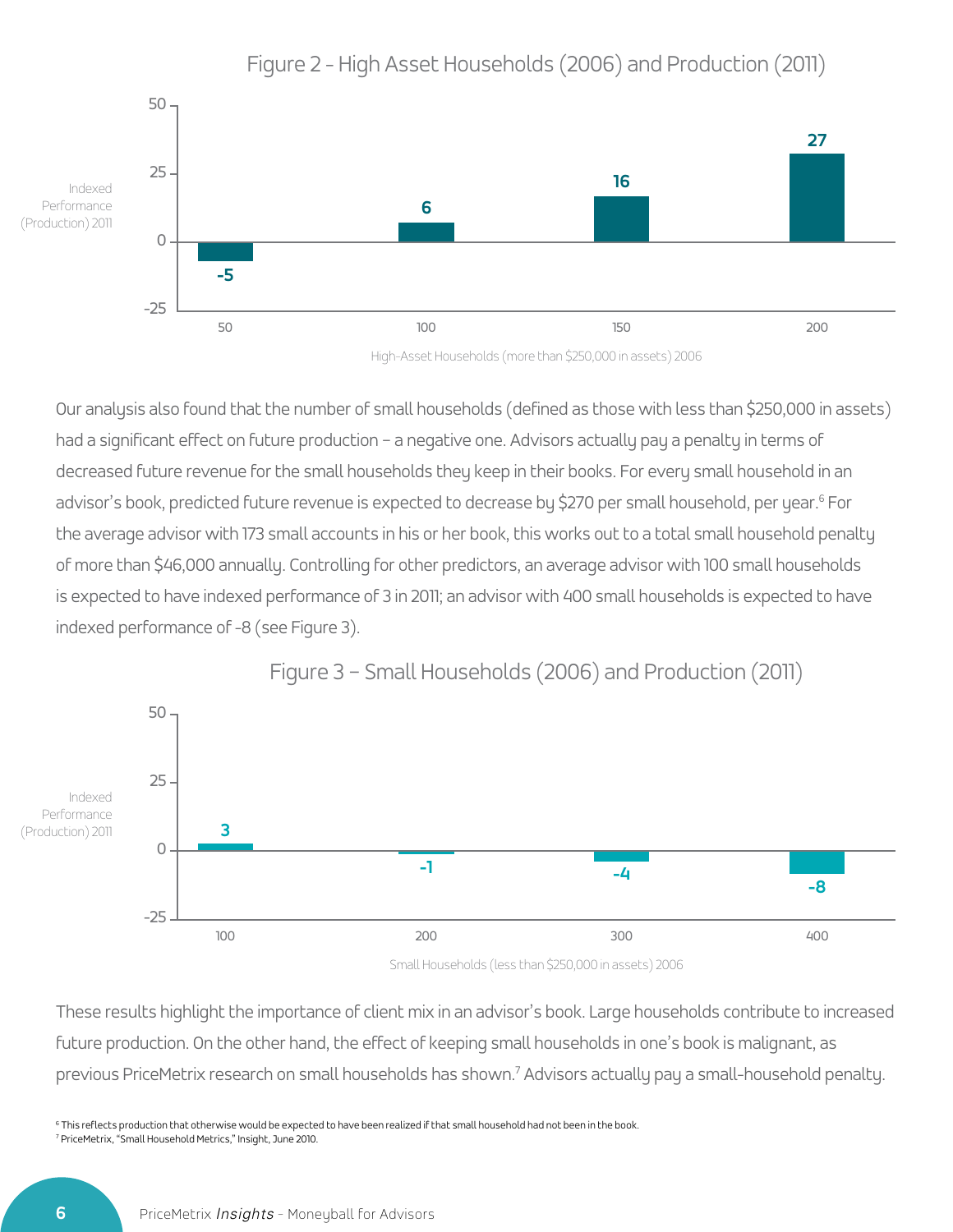

Figure 2 - High Asset Households (2006) and Production (2011)

High-Asset Households (more than \$250,000 in assets) 2006

Our analysis also found that the number of small households (defined as those with less than \$250,000 in assets) had a significant effect on future production - a negative one. Advisors actually pay a penalty in terms of decreased future revenue for the small households they keep in their books. For every small household in an advisor's book, predicted future revenue is expected to decrease by \$270 per small household, per year.<sup>6</sup> For the average advisor with 173 small accounts in his or her book, this works out to a total small household penalty of more than \$46,000 annually. Controlling for other predictors, an average advisor with 100 small households is expected to have indexed performance of 3 in 2011; an advisor with 400 small households is expected to have indexed performance of -8 (see Figure 3).



Figure 3 – Small Households (2006) and Production (2011)

Small Households (less than \$250,000 in assets) 2006

These results highlight the importance of client mix in an advisor's book. Large households contribute to increased future production. On the other hand, the effect of keeping small households in one's book is malignant, as previous PriceMetrix research on small households has shown.<sup>7</sup> Advisors actually pay a small-household penalty.

 $^6$  This reflects production that otherwise would be expected to have been realized if that small household had not been in the book. 7 PriceMetrix, "Small Household Metrics," Insight, June 2010.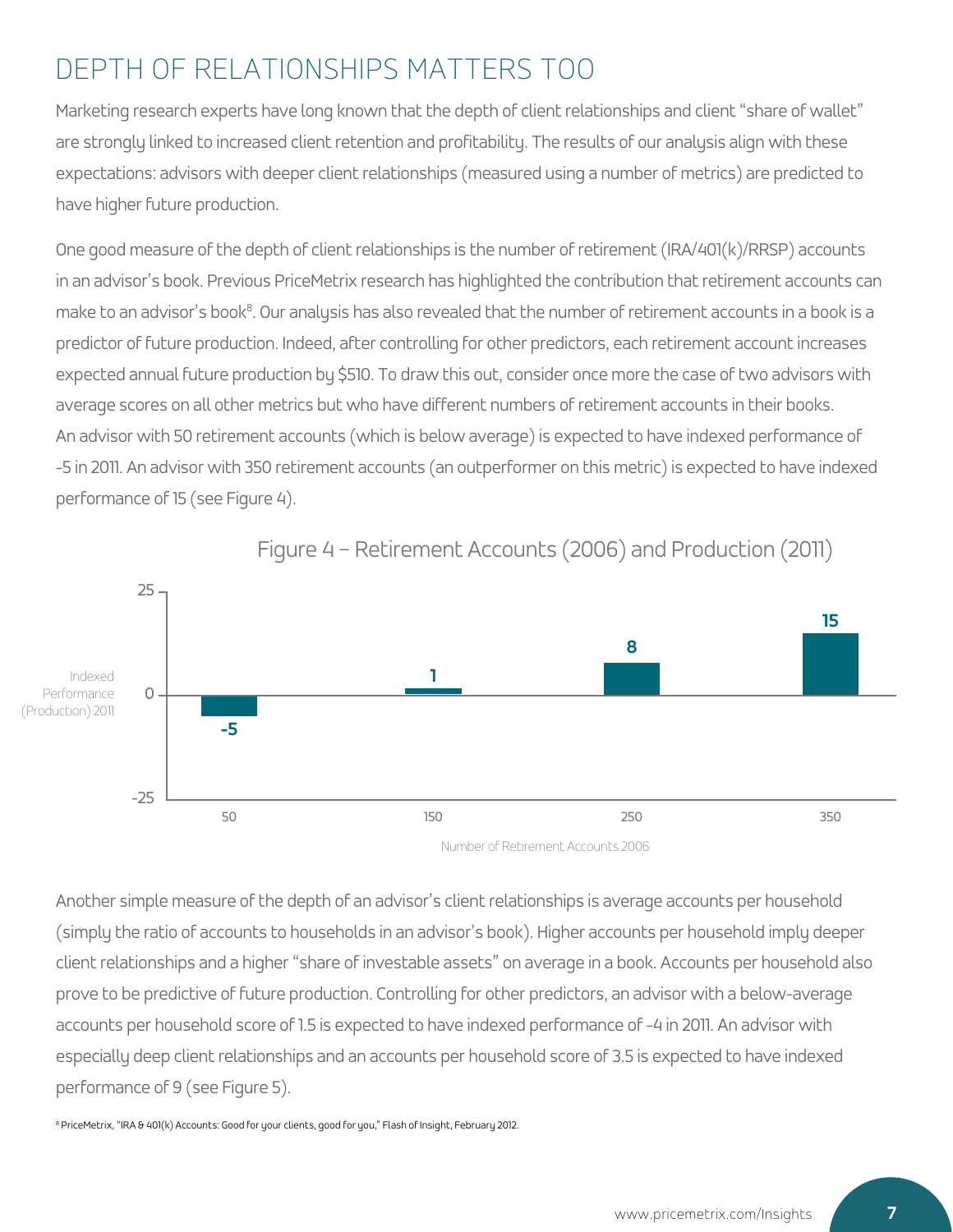# DEPTH OF RELATIONSHIPS MATTERS TOO

Marketing research experts have long known that the depth of client relationships and client "share of wallet" are strongly linked to increased client retention and profitability. The results of our analysis align with these expectations: advisors with deeper client relationships (measured using a number of metrics) are predicted to have higher future production.

One good measure of the depth of client relationships is the number of retirement (IRA/401(k)/RRSP) accounts in an advisor's book. Previous PriceMetrix research has highlighted the contribution that retirement accounts can make to an advisor's book<sup>8</sup>. Our analysis has also revealed that the number of retirement accounts in a book is a predictor of future production. Indeed, after controlling for other predictors, each retirement account increases expected annual future production by \$510. To draw this out, consider once more the case of two advisors with average scores on all other metrics but who have different numbers of retirement accounts in their books. An advisor with 50 retirement accounts (which is below average) is expected to have indexed performance of -5 in 2011. An advisor with 350 retirement accounts (an outperformer on this metric) is expected to have indexed performance of 15 (see Figure 4).



Figure 4 – Retirement Accounts (2006) and Production (2011)

Number of Retirement Accounts 2006

Another simple measure of the depth of an advisor's client relationships is average accounts per household (simply the ratio of accounts to households in an advisor's book). Higher accounts per household imply deeper client relationships and a higher "share of investable assets" on average in a book. Accounts per household also prove to be predictive of future production. Controlling for other predictors, an advisor with a below-average accounts per household score of 1.5 is expected to have indexed performance of -4 in 2011. An advisor with especially deep client relationships and an accounts per household score of 3.5 is expected to have indexed performance of 9 (see Figure 5).

<sup>8</sup> PriceMetrix, "IRA & 401(k) Accounts: Good for your clients, good for you," Flash of Insight, February 2012.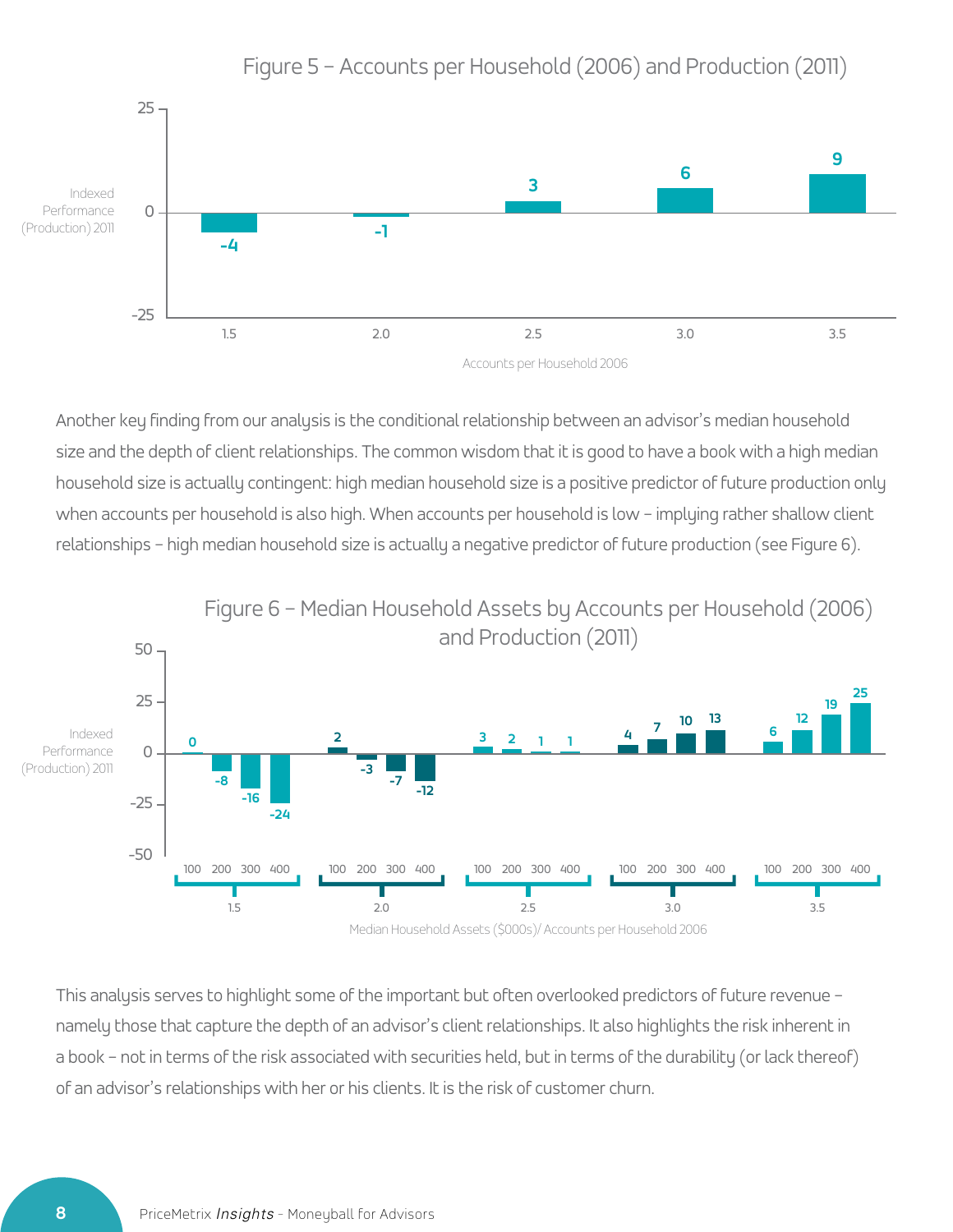

Figure 5 – Accounts per Household (2006) and Production (2011)

Another key finding from our analysis is the conditional relationship between an advisor's median household size and the depth of client relationships. The common wisdom that it is good to have a book with a high median household size is actually contingent: high median household size is a positive predictor of future production only when accounts per household is also high. When accounts per household is low - implying rather shallow client relationships – high median household size is actually a negative predictor of future production (see Figure 6).



This analysis serves to highlight some of the important but often overlooked predictors of future revenue – namely those that capture the depth of an advisor's client relationships. It also highlights the risk inherent in a book – not in terms of the risk associated with securities held, but in terms of the durability (or lack thereof) of an advisor's relationships with her or his clients. It is the risk of customer churn.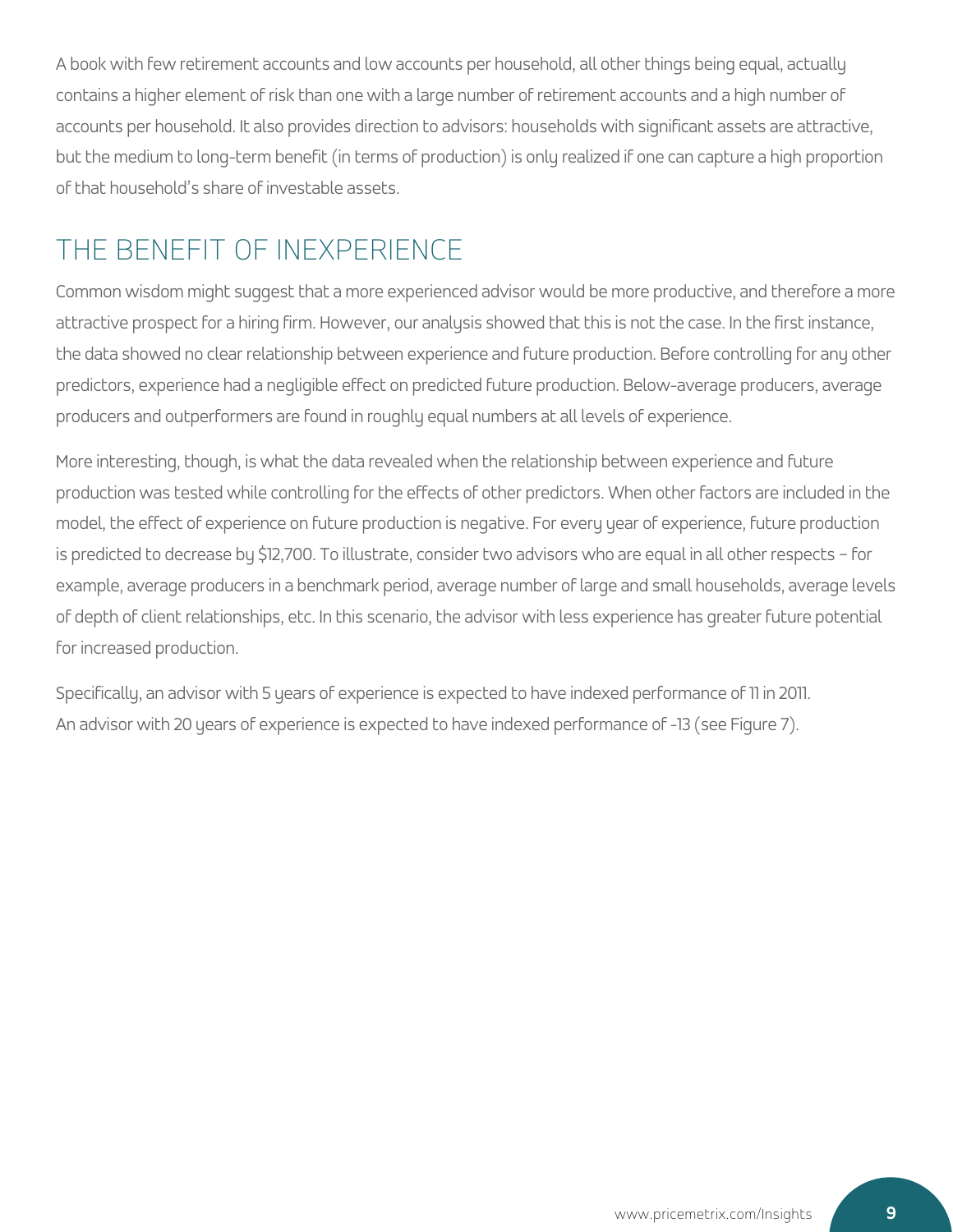A book with few retirement accounts and low accounts per household, all other things being equal, actually contains a higher element of risk than one with a large number of retirement accounts and a high number of accounts per household. It also provides direction to advisors: households with significant assets are attractive, but the medium to long-term benefit (in terms of production) is only realized if one can capture a high proportion of that household's share of investable assets.

# THE BENEFIT OF INEXPERIENCE

Common wisdom might suggest that a more experienced advisor would be more productive, and therefore a more attractive prospect for a hiring firm. However, our analysis showed that this is not the case. In the first instance, the data showed no clear relationship between experience and future production. Before controlling for any other predictors, experience had a negligible effect on predicted future production. Below-average producers, average producers and outperformers are found in roughly equal numbers at all levels of experience.

More interesting, though, is what the data revealed when the relationship between experience and future production was tested while controlling for the effects of other predictors. When other factors are included in the model, the effect of experience on future production is negative. For every year of experience, future production is predicted to decrease by \$12,700. To illustrate, consider two advisors who are equal in all other respects – for example, average producers in a benchmark period, average number of large and small households, average levels of depth of client relationships, etc. In this scenario, the advisor with less experience has greater future potential for increased production.

Specifically, an advisor with 5 years of experience is expected to have indexed performance of 11 in 2011. An advisor with 20 years of experience is expected to have indexed performance of -13 (see Figure 7).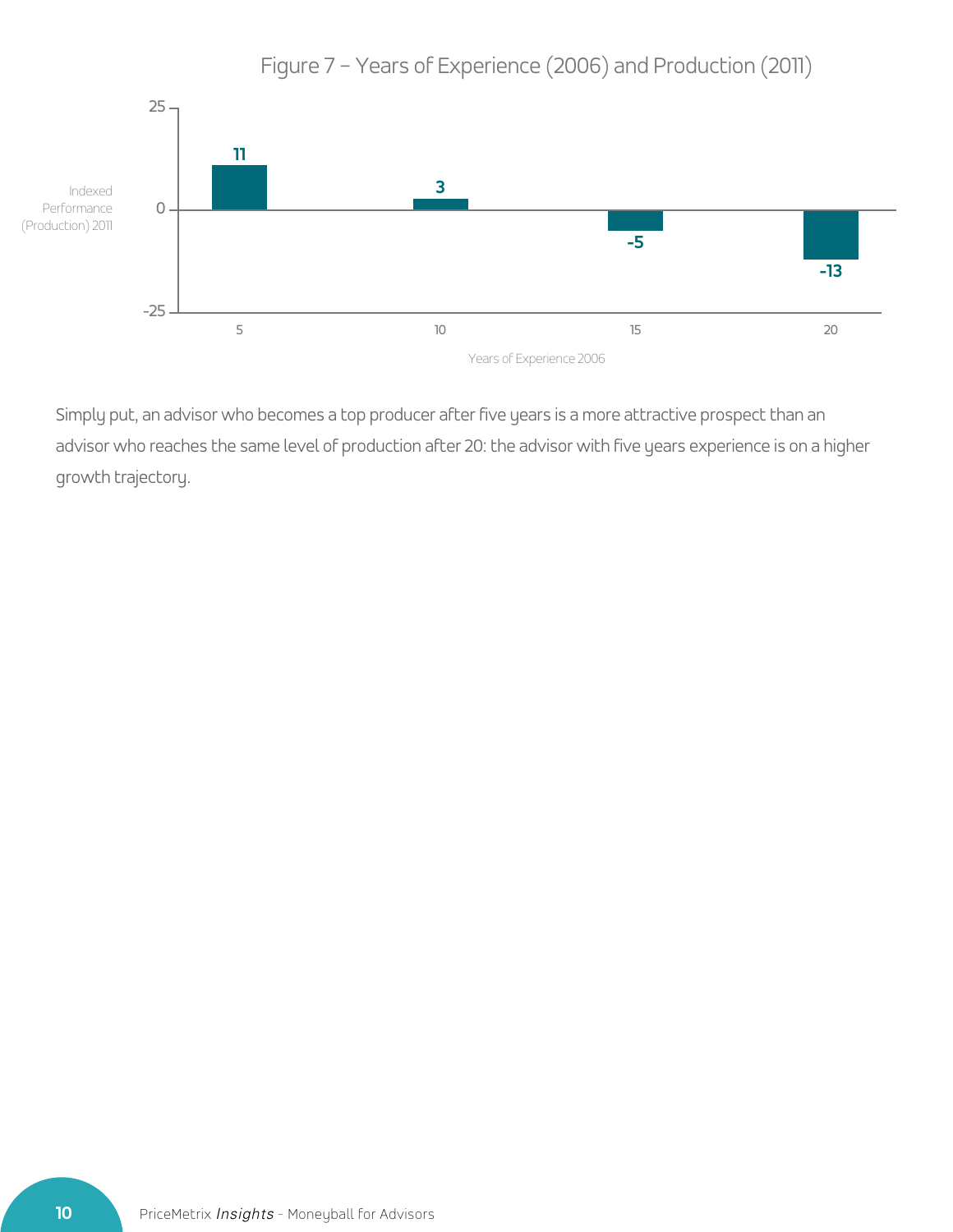

Figure 7 – Years of Experience (2006) and Production (2011)

Simply put, an advisor who becomes a top producer after five years is a more attractive prospect than an advisor who reaches the same level of production after 20: the advisor with five years experience is on a higher growth trajectory.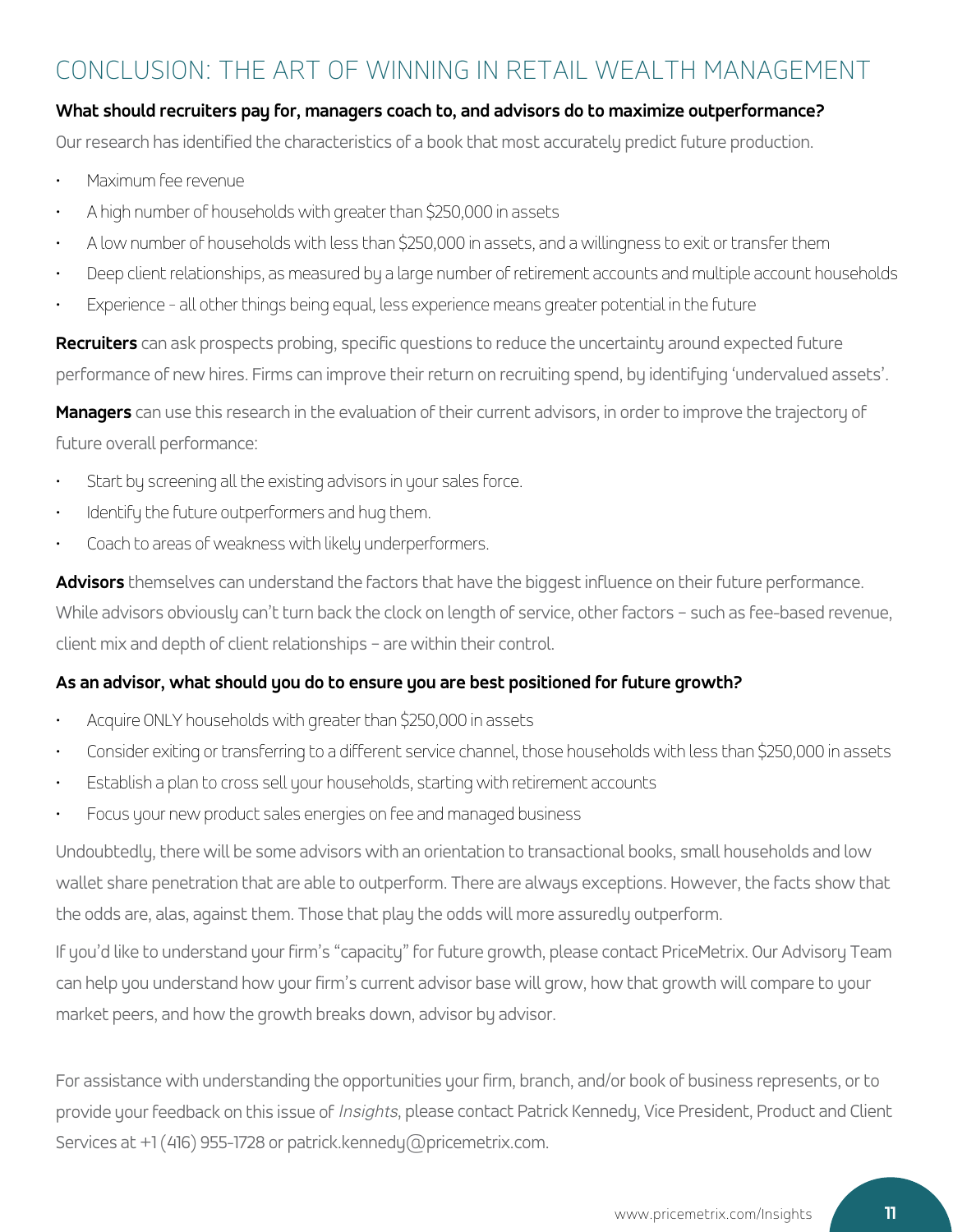### CONCLUSION: THE ART OF WINNING IN RETAIL WEALTH MANAGEMENT

### **What should recruiters pay for, managers coach to, and advisors do to maximize outperformance?**

Our research has identified the characteristics of a book that most accurately predict future production.

- Maximum fee revenue
- A high number of households with greater than \$250,000 in assets
- A low number of households with less than \$250,000 in assets, and a willingness to exit or transfer them
- Deep client relationships, as measured by a large number of retirement accounts and multiple account households
- Experience all other things being equal, less experience means greater potential in the future

**Recruiters** can ask prospects probing, specific questions to reduce the uncertainty around expected future performance of new hires. Firms can improve their return on recruiting spend, by identifying 'undervalued assets'.

**Managers** can use this research in the evaluation of their current advisors, in order to improve the trajectory of future overall performance:

- Start by screening all the existing advisors in your sales force.
- Identify the future outperformers and hug them.
- Coach to areas of weakness with likely underperformers.

**Advisors** themselves can understand the factors that have the biggest influence on their future performance. While advisors obviously can't turn back the clock on length of service, other factors – such as fee-based revenue, client mix and depth of client relationships – are within their control.

### **As an advisor, what should you do to ensure you are best positioned for future growth?**

- Acquire ONLY households with greater than \$250,000 in assets
- Consider exiting or transferring to a different service channel, those households with less than \$250,000 in assets
- Establish a plan to cross sell your households, starting with retirement accounts
- Focus your new product sales energies on fee and managed business

Undoubtedly, there will be some advisors with an orientation to transactional books, small households and low wallet share penetration that are able to outperform. There are always exceptions. However, the facts show that the odds are, alas, against them. Those that play the odds will more assuredly outperform.

If you'd like to understand your firm's "capacity" for future growth, please contact PriceMetrix. Our Advisory Team can help you understand how your firm's current advisor base will grow, how that growth will compare to your market peers, and how the growth breaks down, advisor by advisor.

For assistance with understanding the opportunities your firm, branch, and/or book of business represents, or to provide your feedback on this issue of *Insights*, please contact Patrick Kennedy, Vice President, Product and Client Services at +1 (416) 955-1728 or patrick.kennedy@pricemetrix.com.